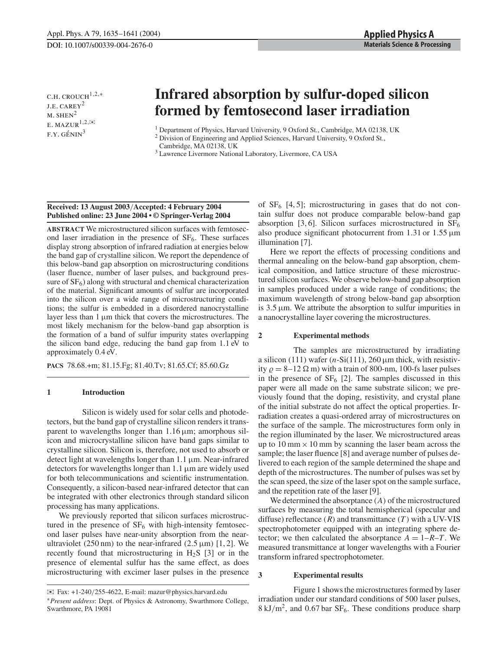C.H. CROUCH $1,2,*$ j.e. carey<sup>2</sup>  $M.$  SHEN<sup>2</sup> E.  $MAXUR^{1,2,\n \infty}$  $F.Y. GÉNIN<sup>3</sup>$ 

# **Infrared absorption by sulfur-doped silicon formed by femtosecond laser irradiation**

<sup>1</sup> Department of Physics, Harvard University, 9 Oxford St., Cambridge, MA 02138, UK

<sup>2</sup> Division of Engineering and Applied Sciences, Harvard University, 9 Oxford St., Cambridge, MA 02138, UK

<sup>3</sup> Lawrence Livermore National Laboratory, Livermore, CA USA

## **Received: 13 August 2003**/**Accepted: 4 February 2004 Published online: 23 June 2004 • © Springer-Verlag 2004**

**ABSTRACT** We microstructured silicon surfaces with femtosecond laser irradiation in the presence of  $SF<sub>6</sub>$ . These surfaces display strong absorption of infrared radiation at energies below the band gap of crystalline silicon. We report the dependence of this below-band gap absorption on microstructuring conditions (laser fluence, number of laser pulses, and background pressure of  $SF<sub>6</sub>$ ) along with structural and chemical characterization of the material. Significant amounts of sulfur are incorporated into the silicon over a wide range of microstructuring conditions; the sulfur is embedded in a disordered nanocrystalline layer less than 1 µm thick that covers the microstructures. The most likely mechanism for the below-band gap absorption is the formation of a band of sulfur impurity states overlapping the silicon band edge, reducing the band gap from 1.1 eV to approximately 0.4 eV.

**PACS** 78.68.+m; 81.15.Fg; 81.40.Tv; 81.65.Cf; 85.60.Gz

#### **1 Introduction**

Silicon is widely used for solar cells and photodetectors, but the band gap of crystalline silicon renders it transparent to wavelengths longer than  $1.16 \mu m$ ; amorphous silicon and microcrystalline silicon have band gaps similar to crystalline silicon. Silicon is, therefore, not used to absorb or detect light at wavelengths longer than  $1.1 \mu m$ . Near-infrared detectors for wavelengths longer than 1.1 µm are widely used for both telecommunications and scientific instrumentation. Consequently, a silicon-based near-infrared detector that can be integrated with other electronics through standard silicon processing has many applications.

We previously reported that silicon surfaces microstructured in the presence of  $SF_6$  with high-intensity femtosecond laser pulses have near-unity absorption from the nearultraviolet (250 nm) to the near-infrared (2.5  $\mu$ m) [1, 2]. We recently found that microstructuring in  $H_2S$  [3] or in the presence of elemental sulfur has the same effect, as does microstructuring with excimer laser pulses in the presence of  $SF_6$  [4, 5]; microstructuring in gases that do not contain sulfur does not produce comparable below-band gap absorption [3, 6]. Silicon surfaces microstructured in  $SF_6$ also produce significant photocurrent from 1.31 or 1.55  $\mu$ m illumination [7].

Here we report the effects of processing conditions and thermal annealing on the below-band gap absorption, chemical composition, and lattice structure of these microstructured silicon surfaces. We observe below-band gap absorption in samples produced under a wide range of conditions; the maximum wavelength of strong below-band gap absorption is  $3.5 \mu$ m. We attribute the absorption to sulfur impurities in a nanocrystalline layer covering the microstructures.

### **2 Experimental methods**

The samples are microstructured by irradiating a silicon (111) wafer  $(n-Si(111), 260 \,\mu m)$  thick, with resistivity  $\rho = 8-12 \Omega$  m) with a train of 800-nm, 100-fs laser pulses in the presence of  $SF_6$  [2]. The samples discussed in this paper were all made on the same substrate silicon; we previously found that the doping, resistivity, and crystal plane of the initial substrate do not affect the optical properties. Irradiation creates a quasi-ordered array of microstructures on the surface of the sample. The microstructures form only in the region illuminated by the laser. We microstructured areas up to 10 mm  $\times$  10 mm by scanning the laser beam across the sample; the laser fluence [8] and average number of pulses delivered to each region of the sample determined the shape and depth of the microstructures. The number of pulses was set by the scan speed, the size of the laser spot on the sample surface, and the repetition rate of the laser [9].

We determined the absorptance (*A*) of the microstructured surfaces by measuring the total hemispherical (specular and diffuse) reflectance (*R*) and transmittance (*T* ) with a UV-VIS spectrophotometer equipped with an integrating sphere detector; we then calculated the absorptance  $A = 1 - R - T$ . We measured transmittance at longer wavelengths with a Fourier transform infrared spectrophotometer.

### **3 Experimental results**

Figure 1 shows the microstructures formed by laser irradiation under our standard conditions of 500 laser pulses,  $8 \text{ kJ/m}^2$ , and 0.67 bar SF<sub>6</sub>. These conditions produce sharp

<sup>✉</sup> Fax: +1-240/255-4622, E-mail: mazur@physics.harvard.edu ∗*Present address*: Dept. of Physics & Astronomy, Swarthmore College, Swarthmore, PA 19081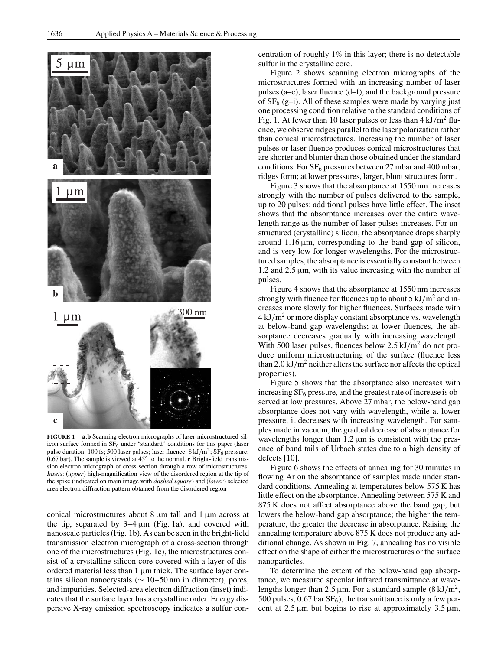

**FIGURE 1 a**,**b** Scanning electron micrographs of laser-microstructured silicon surface formed in  $SF<sub>6</sub>$  under "standard" conditions for this paper (laser pulse duration: 100 fs; 500 laser pulses; laser fluence:  $8 \text{ kJ/m}^2$ ;  $SF_6$  pressure: 0.67 bar). The sample is viewed at 45◦ to the normal. **c** Bright-field transmission electron micrograph of cross-section through a row of microstructures. *Insets*: (*upper*) high-magnification view of the disordered region at the tip of the spike (indicated on main image with *dashed square*) and (*lower*) selected area electron diffraction pattern obtained from the disordered region

conical microstructures about  $8 \mu m$  tall and  $1 \mu m$  across at the tip, separated by  $3-4 \mu m$  (Fig. 1a), and covered with nanoscale particles (Fig. 1b). As can be seen in the bright-field transmission electron micrograph of a cross-section through one of the microstructures (Fig. 1c), the microstructures consist of a crystalline silicon core covered with a layer of disordered material less than  $1 \mu m$  thick. The surface layer contains silicon nanocrystals ( $\sim$  10–50 nm in diameter), pores, and impurities. Selected-area electron diffraction (inset) indicates that the surface layer has a crystalline order. Energy dispersive X-ray emission spectroscopy indicates a sulfur concentration of roughly 1% in this layer; there is no detectable sulfur in the crystalline core.

Figure 2 shows scanning electron micrographs of the microstructures formed with an increasing number of laser pulses (a–c), laser fluence (d–f), and the background pressure of  $SF_6$  (g-i). All of these samples were made by varying just one processing condition relative to the standard conditions of Fig. 1. At fewer than 10 laser pulses or less than  $4 \mathrm{kJ/m^2}$  fluence, we observe ridges parallel to the laser polarization rather than conical microstructures. Increasing the number of laser pulses or laser fluence produces conical microstructures that are shorter and blunter than those obtained under the standard conditions. For  $SF_6$  pressures between 27 mbar and 400 mbar, ridges form; at lower pressures, larger, blunt structures form.

Figure 3 shows that the absorptance at 1550 nm increases strongly with the number of pulses delivered to the sample, up to 20 pulses; additional pulses have little effect. The inset shows that the absorptance increases over the entire wavelength range as the number of laser pulses increases. For unstructured (crystalline) silicon, the absorptance drops sharply around  $1.16 \mu m$ , corresponding to the band gap of silicon, and is very low for longer wavelengths. For the microstructured samples, the absorptance is essentially constant between 1.2 and  $2.5 \mu m$ , with its value increasing with the number of pulses.

Figure 4 shows that the absorptance at 1550 nm increases strongly with fluence for fluences up to about  $5 \text{ kJ/m}^2$  and increases more slowly for higher fluences. Surfaces made with  $4 \mathrm{kJ/m^2}$  or more display constant absorptance vs. wavelength at below-band gap wavelengths; at lower fluences, the absorptance decreases gradually with increasing wavelength. With 500 laser pulses, fluences below  $2.5 \text{ kJ/m}^2$  do not produce uniform microstructuring of the surface (fluence less than 2.0 kJ/m<sup>2</sup> neither alters the surface nor affects the optical properties).

Figure 5 shows that the absorptance also increases with increasing  $SF<sub>6</sub>$  pressure, and the greatest rate of increase is observed at low pressures. Above 27 mbar, the below-band gap absorptance does not vary with wavelength, while at lower pressure, it decreases with increasing wavelength. For samples made in vacuum, the gradual decrease of absorptance for wavelengths longer than  $1.2 \mu m$  is consistent with the presence of band tails of Urbach states due to a high density of defects [10].

Figure 6 shows the effects of annealing for 30 minutes in flowing Ar on the absorptance of samples made under standard conditions. Annealing at temperatures below 575 K has little effect on the absorptance. Annealing between 575 K and 875 K does not affect absorptance above the band gap, but lowers the below-band gap absorptance; the higher the temperature, the greater the decrease in absorptance. Raising the annealing temperature above 875 K does not produce any additional change. As shown in Fig. 7, annealing has no visible effect on the shape of either the microstructures or the surface nanoparticles.

To determine the extent of the below-band gap absorptance, we measured specular infrared transmittance at wavelengths longer than 2.5  $\mu$ m. For a standard sample (8 kJ/m<sup>2</sup>, 500 pulses,  $0.67$  bar  $SF<sub>6</sub>$ ), the transmittance is only a few percent at  $2.5 \mu m$  but begins to rise at approximately  $3.5 \mu m$ ,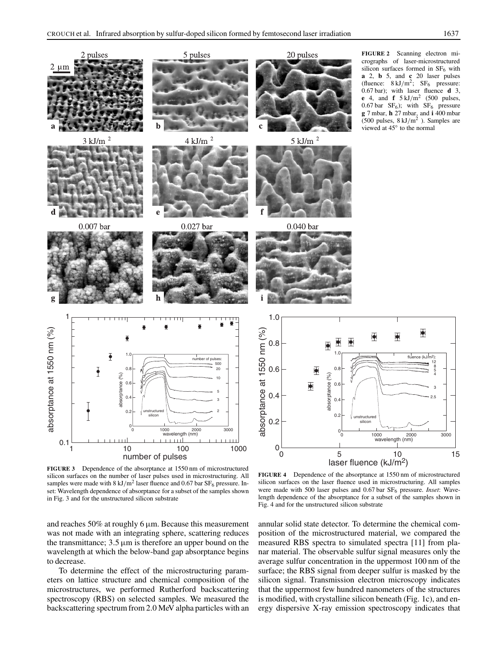$\overline{\mathbf{P}}$ 

2.5 3



**FIGURE 3** Dependence of the absorptance at 1550 nm of microstructured silicon surfaces on the number of laser pulses used in microstructuring. All samples were made with  $8 \text{ kJ/m}^2$  laser fluence and 0.67 bar SF<sub>6</sub> pressure. Inset: Wavelength dependence of absorptance for a subset of the samples shown in Fig. 3 and for the unstructured silicon substrate

and reaches 50% at roughly 6 µm. Because this measurement was not made with an integrating sphere, scattering reduces the transmittance;  $3.5 \mu m$  is therefore an upper bound on the wavelength at which the below-band gap absorptance begins to decrease.

To determine the effect of the microstructuring parameters on lattice structure and chemical composition of the microstructures, we performed Rutherford backscattering spectroscopy (RBS) on selected samples. We measured the backscattering spectrum from 2.0 MeV alpha particles with an

**FIGURE 4** Dependence of the absorptance at 1550 nm of microstructured silicon surfaces on the laser fluence used in microstructuring. All samples were made with 500 laser pulses and 0.67 bar SF6 pressure. *Inset*: Wavelength dependence of the absorptance for a subset of the samples shown in Fig. 4 and for the unstructured silicon substrate

annular solid state detector. To determine the chemical composition of the microstructured material, we compared the measured RBS spectra to simulated spectra [11] from planar material. The observable sulfur signal measures only the average sulfur concentration in the uppermost 100 nm of the surface; the RBS signal from deeper sulfur is masked by the silicon signal. Transmission electron microscopy indicates that the uppermost few hundred nanometers of the structures is modified, with crystalline silicon beneath (Fig. 1c), and energy dispersive X-ray emission spectroscopy indicates that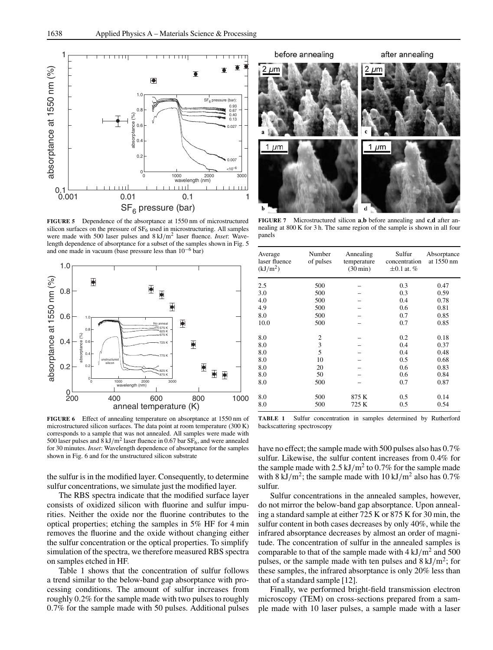

**FIGURE 5** Dependence of the absorptance at 1550 nm of microstructured silicon surfaces on the pressure of  $SF<sub>6</sub>$  used in microstructuring. All samples were made with 500 laser pulses and 8 kJ/m<sup>2</sup> laser fluence. *Inset*: Wavelength dependence of absorptance for a subset of the samples shown in Fig. 5 and one made in vacuum (base pressure less than 10−<sup>6</sup> bar)



**FIGURE 6** Effect of annealing temperature on absorptance at 1550 nm of microstructured silicon surfaces. The data point at room temperature (300 K) corresponds to a sample that was not annealed. All samples were made with 500 laser pulses and 8 kJ/m<sup>2</sup> laser fluence in 0.67 bar  $SF_6$ , and were annealed for 30 minutes. *Inset*: Wavelength dependence of absorptance for the samples shown in Fig. 6 and for the unstructured silicon substrate

the sulfur is in the modified layer. Consequently, to determine sulfur concentrations, we simulate just the modified layer.

The RBS spectra indicate that the modified surface layer consists of oxidized silicon with fluorine and sulfur impurities. Neither the oxide nor the fluorine contributes to the optical properties; etching the samples in 5% HF for 4 min removes the fluorine and the oxide without changing either the sulfur concentration or the optical properties. To simplify simulation of the spectra, we therefore measured RBS spectra on samples etched in HF.

Table 1 shows that the concentration of sulfur follows a trend similar to the below-band gap absorptance with processing conditions. The amount of sulfur increases from roughly 0.2% for the sample made with two pulses to roughly 0.7% for the sample made with 50 pulses. Additional pulses



**FIGURE 7** Microstructured silicon **a**,**b** before annealing and **c**,**d** after annealing at 800 K for 3 h. The same region of the sample is shown in all four panels

| Average<br>laser fluence<br>(kJ/m <sup>2</sup> ) | Number<br>of pulses | Annealing<br>temperature<br>$(30 \text{ min})$ | Sulfur<br>concentration<br>$\pm 0.1$ at. % | Absorptance<br>at 1550 nm |
|--------------------------------------------------|---------------------|------------------------------------------------|--------------------------------------------|---------------------------|
| 2.5                                              | 500                 |                                                | 0.3                                        | 0.47                      |
| 3.0                                              | 500                 |                                                | 0.3                                        | 0.59                      |
| 4.0                                              | 500                 |                                                | 0.4                                        | 0.78                      |
| 4.9                                              | 500                 |                                                | 0.6                                        | 0.81                      |
| 8.0                                              | 500                 |                                                | 0.7                                        | 0.85                      |
| 10.0                                             | 500                 |                                                | 0.7                                        | 0.85                      |
| 8.0                                              | 2                   |                                                | 0.2                                        | 0.18                      |
| 8.0                                              | 3                   |                                                | 0.4                                        | 0.37                      |
| 8.0                                              | 5                   |                                                | 0.4                                        | 0.48                      |
| 8.0                                              | 10                  |                                                | 0.5                                        | 0.68                      |
| 8.0                                              | 20                  |                                                | 0.6                                        | 0.83                      |
| 8.0                                              | 50                  |                                                | 0.6                                        | 0.84                      |
| 8.0                                              | 500                 |                                                | 0.7                                        | 0.87                      |
| 8.0                                              | 500                 | 875 K                                          | 0.5                                        | 0.14                      |
| 8.0                                              | 500                 | 725 K                                          | 0.5                                        | 0.54                      |

**TABLE 1** Sulfur concentration in samples determined by Rutherford backscattering spectroscopy

have no effect; the sample made with 500 pulses also has 0.7% sulfur. Likewise, the sulfur content increases from 0.4% for the sample made with  $2.5 \text{ kJ/m}^2$  to 0.7% for the sample made with 8 kJ/m<sup>2</sup>; the sample made with 10 kJ/m<sup>2</sup> also has 0.7% sulfur.

Sulfur concentrations in the annealed samples, however, do not mirror the below-band gap absorptance. Upon annealing a standard sample at either 725 K or 875 K for 30 min, the sulfur content in both cases decreases by only 40%, while the infrared absorptance decreases by almost an order of magnitude. The concentration of sulfur in the annealed samples is comparable to that of the sample made with  $4 \text{ kJ/m}^2$  and 500 pulses, or the sample made with ten pulses and  $8 \text{ kJ/m}^2$ ; for these samples, the infrared absorptance is only 20% less than that of a standard sample [12].

Finally, we performed bright-field transmission electron microscopy (TEM) on cross-sections prepared from a sample made with 10 laser pulses, a sample made with a laser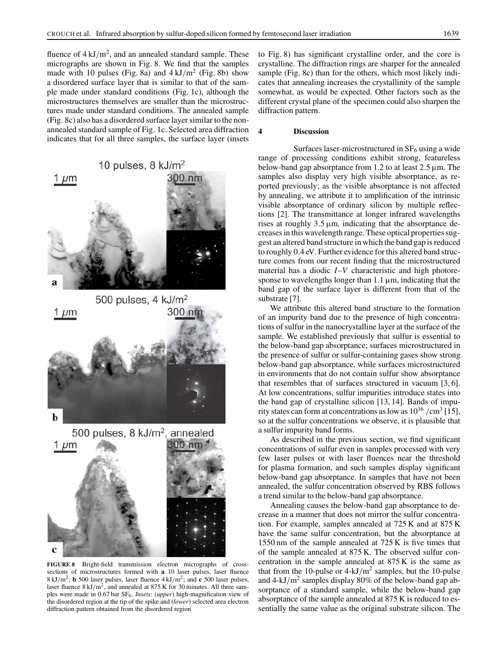fluence of  $4 \mathrm{kJ/m^2}$ , and an annealed standard sample. These micrographs are shown in Fig. 8. We find that the samples made with 10 pulses (Fig. 8a) and  $4 \text{ kJ/m}^2$  (Fig. 8b) show a disordered surface layer that is similar to that of the sample made under standard conditions (Fig. 1c), although the microstructures themselves are smaller than the microstructures made under standard conditions. The annealed sample (Fig. 8c) also has a disordered surface layer similar to the nonannealed standard sample of Fig. 1c. Selected area diffraction indicates that for all three samples, the surface layer (insets



**FIGURE 8** Bright-field transmission electron micrographs of crosssections of microstructures formed with **a** 10 laser pulses, laser fluence 8 kJ/m2; **b** 500 laser pulses, laser fluence 4 kJ/m2; and **c** 500 laser pulses, laser fluence  $8 \text{ kJ/m}^2$ , and annealed at  $875 \text{ K}$  for 30 minutes. All three samples were made in 0.67 bar SF<sub>6</sub>. *Insets*: (*upper*) high-magnification view of the disordered region at the tip of the spike and (*lower*) selected area electron diffraction pattern obtained from the disordered region

to Fig. 8) has significant crystalline order, and the core is crystalline. The diffraction rings are sharper for the annealed sample (Fig. 8c) than for the others, which most likely indicates that annealing increases the crystallinity of the sample somewhat, as would be expected. Other factors such as the different crystal plane of the specimen could also sharpen the diffraction pattern.

## **4 Discussion**

Surfaces laser-microstructured in  $SF<sub>6</sub>$  using a wide range of processing conditions exhibit strong, featureless below-band gap absorptance from 1.2 to at least  $2.5 \mu m$ . The samples also display very high visible absorptance, as reported previously; as the visible absorptance is not affected by annealing, we attribute it to amplification of the intrinsic visible absorptance of ordinary silicon by multiple reflections [2]. The transmittance at longer infrared wavelengths rises at roughly  $3.5 \mu m$ , indicating that the absorptance decreases in this wavelength range. These optical properties suggest an altered band structure in which the band gap is reduced to roughly 0.4 eV. Further evidence for this altered band structure comes from our recent finding that the microstructured material has a diodic *I*–*V* characteristic and high photoresponse to wavelengths longer than  $1.1 \mu m$ , indicating that the band gap of the surface layer is different from that of the substrate [7].

We attribute this altered band structure to the formation of an impurity band due to the presence of high concentrations of sulfur in the nanocrystalline layer at the surface of the sample. We established previously that sulfur is essential to the below-band gap absorptance; surfaces microstructured in the presence of sulfur or sulfur-containing gases show strong below-band gap absorptance, while surfaces microstructured in environments that do not contain sulfur show absorptance that resembles that of surfaces structured in vacuum [3, 6]. At low concentrations, sulfur impurities introduce states into the band gap of crystalline silicon [13, 14]. Bands of impurity states can form at concentrations as low as  $10^{16}$  /cm<sup>3</sup> [15], so at the sulfur concentrations we observe, it is plausible that a sulfur impurity band forms.

As described in the previous section, we find significant concentrations of sulfur even in samples processed with very few laser pulses or with laser fluences near the threshold for plasma formation, and such samples display significant below-band gap absorptance. In samples that have not been annealed, the sulfur concentration observed by RBS follows a trend similar to the below-band gap absorptance.

Annealing causes the below-band gap absorptance to decrease in a manner that does not mirror the sulfur concentration. For example, samples annealed at 725 K and at 875 K have the same sulfur concentration, but the absorptance at 1550 nm of the sample annealed at 725 K is five times that of the sample annealed at 875 K. The observed sulfur concentration in the sample annealed at 875 K is the same as that from the 10-pulse or  $4-kJ/m^2$  samples, but the 10-pulse and  $4\text{-}kJ/m^2$  samples display 80% of the below-band gap absorptance of a standard sample, while the below-band gap absorptance of the sample annealed at 875 K is reduced to essentially the same value as the original substrate silicon. The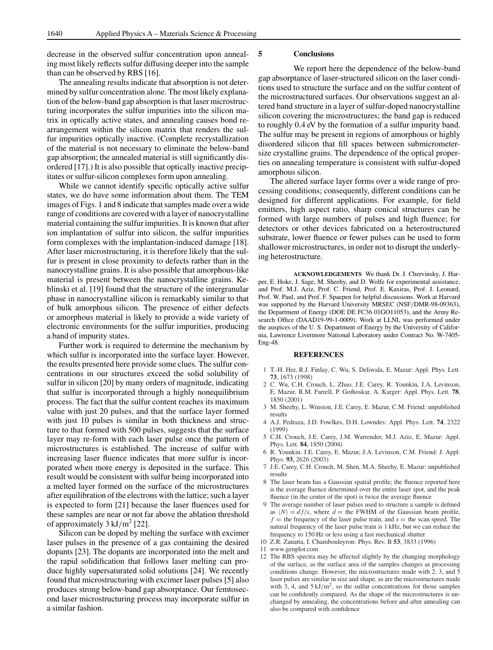decrease in the observed sulfur concentration upon annealing most likely reflects sulfur diffusing deeper into the sample than can be observed by RBS [16].

The annealing results indicate that absorption is not determined by sulfur concentration alone. The most likely explanation of the below-band gap absorption is that laser microstructuring incorporates the sulfur impurities into the silicon matrix in optically active states, and annealing causes bond rearrangement within the silicon matrix that renders the sulfur impurities optically inactive. (Complete recrystallization of the material is not necessary to eliminate the below-band gap absorption; the annealed material is still significantly disordered [17].) It is also possible that optically inactive precipitates or sulfur-silicon complexes form upon annealing.

While we cannot identify specific optically active sulfur states, we do have some information about them. The TEM images of Figs. 1 and 8 indicate that samples made over a wide range of conditions are covered with a layer of nanocrystalline material containing the sulfur impurities. It is known that after ion implantation of sulfur into silicon, the sulfur impurities form complexes with the implantation-induced damage [18]. After laser microstructuring, it is therefore likely that the sulfur is present in close proximity to defects rather than in the nanocrystalline grains. It is also possible that amorphous-like material is present between the nanocrystalline grains. Keblinski et al. [19] found that the structure of the intergranular phase in nanocrystalline silicon is remarkably similar to that of bulk amorphous silicon. The presence of either defects or amorphous material is likely to provide a wide variety of electronic environments for the sulfur impurities, producing a band of impurity states.

Further work is required to determine the mechanism by which sulfur is incorporated into the surface layer. However, the results presented here provide some clues. The sulfur concentrations in our structures exceed the solid solubility of sulfur in silicon [20] by many orders of magnitude, indicating that sulfur is incorporated through a highly nonequilibrium process. The fact that the sulfur content reaches its maximum value with just 20 pulses, and that the surface layer formed with just 10 pulses is similar in both thickness and structure to that formed with 500 pulses, suggests that the surface layer may re-form with each laser pulse once the pattern of microstructures is established. The increase of sulfur with increasing laser fluence indicates that more sulfur is incorporated when more energy is deposited in the surface. This result would be consistent with sulfur being incorporated into a melted layer formed on the surface of the microstructures after equilibration of the electrons with the lattice; such a layer is expected to form [21] because the laser fluences used for these samples are near or not far above the ablation threshold of approximately  $3 \text{ kJ/m}^2$  [22].

Silicon can be doped by melting the surface with excimer laser pulses in the presence of a gas containing the desired dopants [23]. The dopants are incorporated into the melt and the rapid solidification that follows laser melting can produce highly supersaturated solid solutions [24]. We recently found that microstructuring with excimer laser pulses [5] also produces strong below-band gap absorptance. Our femtosecond laser microstructuring process may incorporate sulfur in a similar fashion.

#### **5 Conclusions**

We report here the dependence of the below-band gap absorptance of laser-structured silicon on the laser conditions used to structure the surface and on the sulfur content of the microstructured surfaces. Our observations suggest an altered band structure in a layer of sulfur-doped nanocrystalline silicon covering the microstructures; the band gap is reduced to roughly 0.4 eV by the formation of a sulfur impurity band. The sulfur may be present in regions of amorphous or highly disordered silicon that fill spaces between submicrometersize crystalline grains. The dependence of the optical properties on annealing temperature is consistent with sulfur-doped amorphous silicon.

The altered surface layer forms over a wide range of processing conditions; consequently, different conditions can be designed for different applications. For example, for field emitters, high aspect ratio, sharp conical structures can be formed with large numbers of pulses and high fluence; for detectors or other devices fabricated on a heterostructured substrate, lower fluence or fewer pulses can be used to form shallower microstructures, in order not to disrupt the underlying heterostructure.

**ACKNOWLEDGEMENTS** We thank Dr. J. Chervinsky, J. Harper, E. Hoke, J. Sage, M. Sheehy, and D. Wolfe for experimental assistance, and Prof. M.J. Aziz, Prof. C. Friend, Prof. E. Kaxiras, Prof. J. Leonard, Prof. W. Paul, and Prof. F. Spaepen for helpful discussions. Work at Harvard was supported by the Harvard University MRSEC (NSF/DMR-98-09363), the Department of Energy (DOE DE FC36 01GO11053), and the Army Research Office (DAAD19-99-1-0009). Work at LLNL was performed under the auspices of the U. S. Department of Energy by the University of California, Lawrence Livermore National Laboratory under Contract No. W-7405- Eng-48.

#### **REFERENCES**

- 1 T.-H. Her, R.J. Finlay, C. Wu, S. Deliwala, E. Mazur: Appl. Phys. Lett. **73**, 1673 (1998)
- 2 C. Wu, C.H. Crouch, L. Zhao, J.E. Carey, R. Younkin, J.A. Levinson, E. Mazur, R.M. Farrell, P. Gothoskar, A. Karger: Appl. Phys. Lett. **78**, 1850 (2001)
- 3 M. Sheehy, L. Winston, J.E. Carey, E. Mazur, C.M. Friend: unpublished results
- 4 A.J. Pedraza, J.D. Fowlkes, D.H. Lowndes: Appl. Phys. Lett. **74**, 2322 (1999)
- 5 C.H. Crouch, J.E. Carey, J.M. Warrender, M.J. Aziz, E. Mazur: Appl. Phys. Lett. **84**, 1850 (2004)
- 6 R. Younkin. J.E. Carey, E. Mazur, J.A. Levinson, C.M. Friend: J. Appl. Phys. **93**, 2626 (2003)
- 7 J.E. Carey, C.H. Crouch, M. Shen, M.A. Sheehy, E. Mazur: unpublished results
- 8 The laser beam has a Gaussian spatial profile; the fluence reported here is the average fluence determined over the entire laser spot, and the peak fluence (in the center of the spot) is twice the average fluence
- 9 The average number of laser pulses used to structure a sample is defined as  $\langle N \rangle = df/s$ , where  $d =$  the FWHM of the Gaussian beam profile,  $f$  = the frequency of the laser pulse train, and  $s$  = the scan speed. The natural frequency of the laser pulse train is 1 kHz, but we can reduce the frequency to 150 Hz or less using a fast mechanical shutter
- 10 Z.R. Zanatta, I. Chambouleyron: Phys. Rev. B **53**, 3833 (1996)
- 11 www.genplot.com
- 12 The RBS spectra may be affected slightly by the changing morphology of the surface, as the surface area of the samples changes as processing conditions change. However, the microstructures made with 2, 3, and 5 laser pulses are similar in size and shape, as are the microstructures made with 3, 4, and  $5 \text{ kJ/m}^2$ , so the sulfur concentrations for those samples can be confidently compared. As the shape of the microstructures is unchanged by annealing, the concentrations before and after annealing can also be compared with confidence